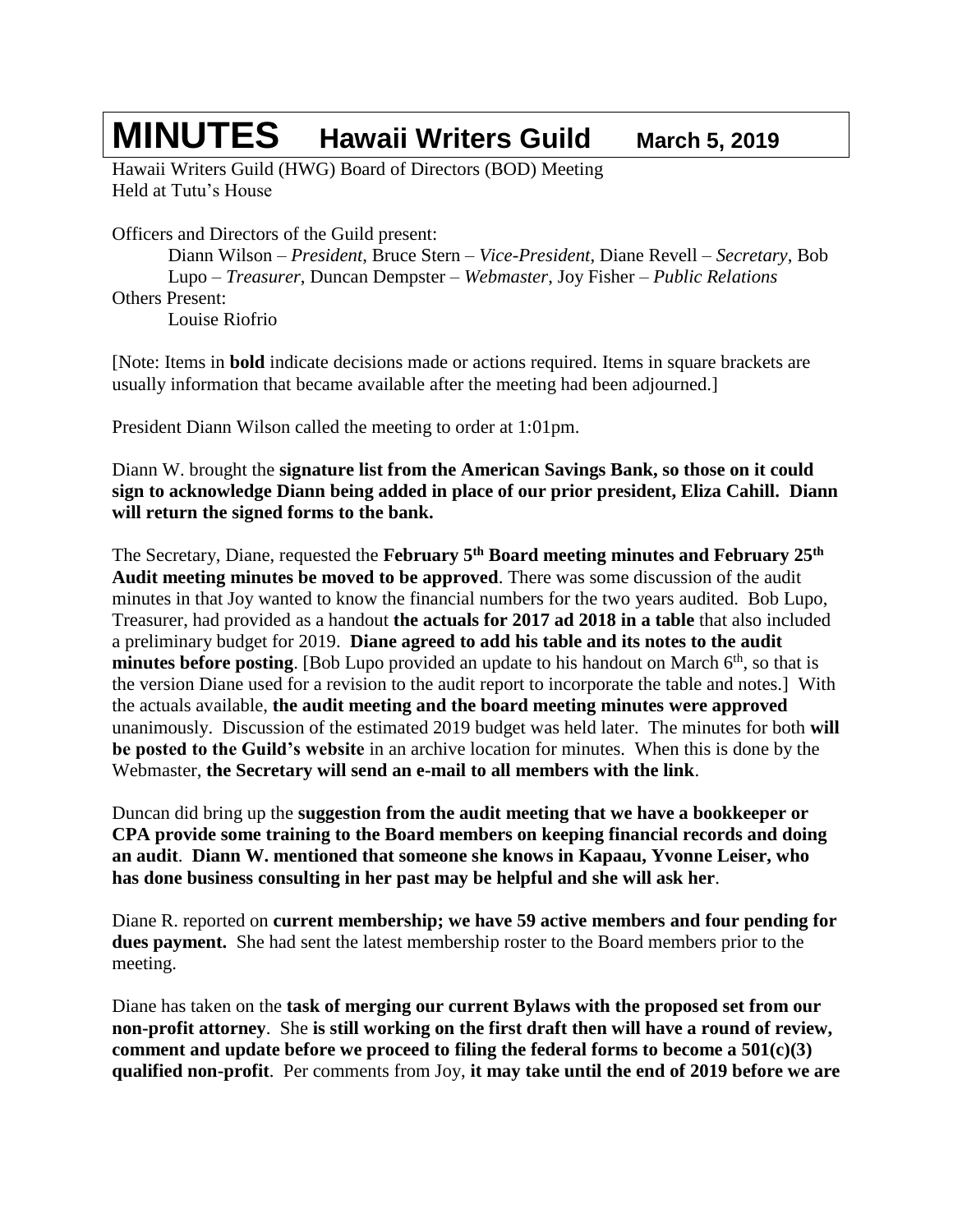# **MINUTES Hawaii Writers Guild March 5, <sup>2019</sup>**

Hawaii Writers Guild (HWG) Board of Directors (BOD) Meeting Held at Tutu's House

Officers and Directors of the Guild present:

Diann Wilson – *President*, Bruce Stern – *Vice-President*, Diane Revell – *Secretary*, Bob Lupo – *Treasurer*, Duncan Dempster – *Webmaster*, Joy Fisher – *Public Relations* Others Present: Louise Riofrio

[Note: Items in **bold** indicate decisions made or actions required. Items in square brackets are usually information that became available after the meeting had been adjourned.]

President Diann Wilson called the meeting to order at 1:01pm.

Diann W. brought the **signature list from the American Savings Bank, so those on it could sign to acknowledge Diann being added in place of our prior president, Eliza Cahill. Diann will return the signed forms to the bank.**

The Secretary, Diane, requested the **February 5 th Board meeting minutes and February 25th Audit meeting minutes be moved to be approved**. There was some discussion of the audit minutes in that Joy wanted to know the financial numbers for the two years audited. Bob Lupo, Treasurer, had provided as a handout **the actuals for 2017 ad 2018 in a table** that also included a preliminary budget for 2019. **Diane agreed to add his table and its notes to the audit minutes before posting**. [Bob Lupo provided an update to his handout on March 6<sup>th</sup>, so that is the version Diane used for a revision to the audit report to incorporate the table and notes.] With the actuals available, **the audit meeting and the board meeting minutes were approved** unanimously. Discussion of the estimated 2019 budget was held later. The minutes for both **will be posted to the Guild's website** in an archive location for minutes. When this is done by the Webmaster, **the Secretary will send an e-mail to all members with the link**.

Duncan did bring up the **suggestion from the audit meeting that we have a bookkeeper or CPA provide some training to the Board members on keeping financial records and doing an audit**. **Diann W. mentioned that someone she knows in Kapaau, Yvonne Leiser, who has done business consulting in her past may be helpful and she will ask her**.

Diane R. reported on **current membership; we have 59 active members and four pending for dues payment.** She had sent the latest membership roster to the Board members prior to the meeting.

Diane has taken on the **task of merging our current Bylaws with the proposed set from our non-profit attorney**. She **is still working on the first draft then will have a round of review, comment and update before we proceed to filing the federal forms to become a 501(c)(3) qualified non-profit**. Per comments from Joy, **it may take until the end of 2019 before we are**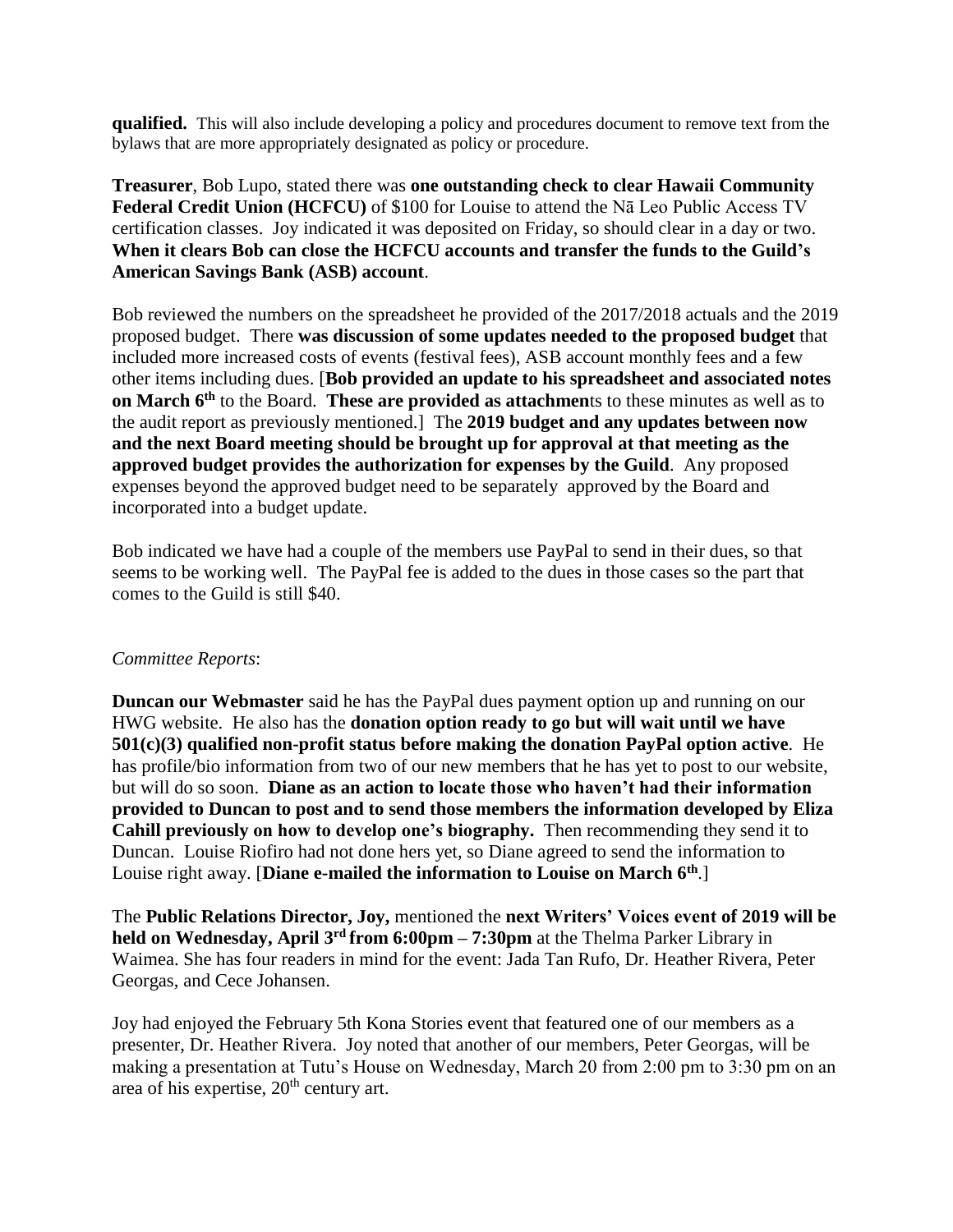**qualified.** This will also include developing a policy and procedures document to remove text from the bylaws that are more appropriately designated as policy or procedure.

**Treasurer**, Bob Lupo, stated there was **one outstanding check to clear Hawaii Community Federal Credit Union (HCFCU)** of \$100 for Louise to attend the Nā Leo Public Access TV certification classes. Joy indicated it was deposited on Friday, so should clear in a day or two. **When it clears Bob can close the HCFCU accounts and transfer the funds to the Guild's American Savings Bank (ASB) account**.

Bob reviewed the numbers on the spreadsheet he provided of the 2017/2018 actuals and the 2019 proposed budget. There **was discussion of some updates needed to the proposed budget** that included more increased costs of events (festival fees), ASB account monthly fees and a few other items including dues. [**Bob provided an update to his spreadsheet and associated notes on March 6th** to the Board. **These are provided as attachmen**ts to these minutes as well as to the audit report as previously mentioned.] The **2019 budget and any updates between now and the next Board meeting should be brought up for approval at that meeting as the approved budget provides the authorization for expenses by the Guild**. Any proposed expenses beyond the approved budget need to be separately approved by the Board and incorporated into a budget update.

Bob indicated we have had a couple of the members use PayPal to send in their dues, so that seems to be working well. The PayPal fee is added to the dues in those cases so the part that comes to the Guild is still \$40.

#### *Committee Reports*:

**Duncan our Webmaster** said he has the PayPal dues payment option up and running on our HWG website. He also has the **donation option ready to go but will wait until we have 501(c)(3) qualified non-profit status before making the donation PayPal option active**. He has profile/bio information from two of our new members that he has yet to post to our website, but will do so soon. **Diane as an action to locate those who haven't had their information provided to Duncan to post and to send those members the information developed by Eliza Cahill previously on how to develop one's biography.** Then recommending they send it to Duncan. Louise Riofiro had not done hers yet, so Diane agreed to send the information to Louise right away. [**Diane e-mailed the information to Louise on March 6th**.]

The **Public Relations Director, Joy,** mentioned the **next Writers' Voices event of 2019 will be held on Wednesday, April 3 rd from 6:00pm – 7:30pm** at the Thelma Parker Library in Waimea. She has four readers in mind for the event: Jada Tan Rufo, Dr. Heather Rivera, Peter Georgas, and Cece Johansen.

Joy had enjoyed the February 5th Kona Stories event that featured one of our members as a presenter, Dr. Heather Rivera. Joy noted that another of our members, Peter Georgas, will be making a presentation at Tutu's House on Wednesday, March 20 from 2:00 pm to 3:30 pm on an area of his expertise,  $20<sup>th</sup>$  century art.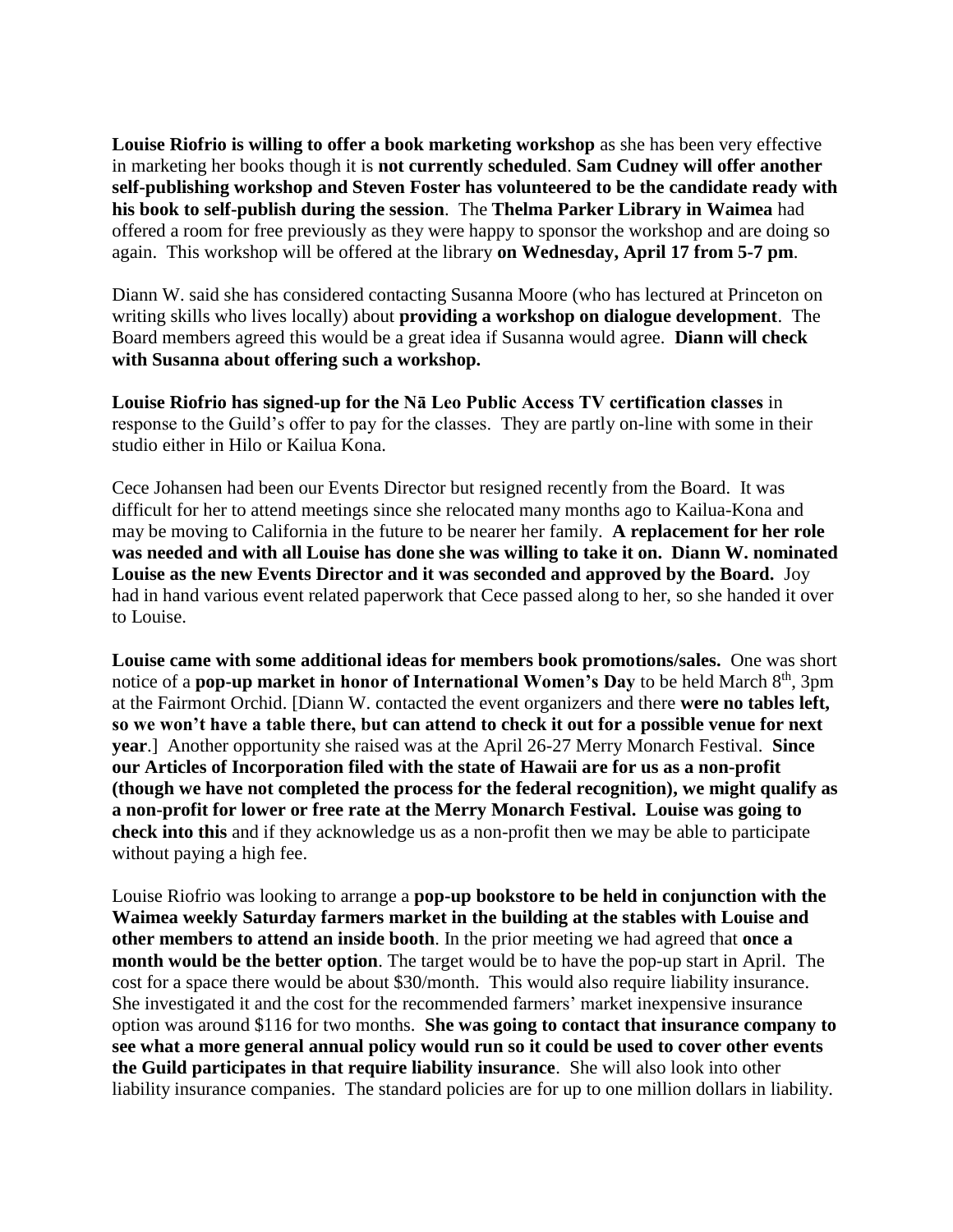**Louise Riofrio is willing to offer a book marketing workshop** as she has been very effective in marketing her books though it is **not currently scheduled**. **Sam Cudney will offer another self-publishing workshop and Steven Foster has volunteered to be the candidate ready with his book to self-publish during the session**. The **Thelma Parker Library in Waimea** had offered a room for free previously as they were happy to sponsor the workshop and are doing so again. This workshop will be offered at the library **on Wednesday, April 17 from 5-7 pm**.

Diann W. said she has considered contacting Susanna Moore (who has lectured at Princeton on writing skills who lives locally) about **providing a workshop on dialogue development**. The Board members agreed this would be a great idea if Susanna would agree. **Diann will check with Susanna about offering such a workshop.**

**Louise Riofrio has signed-up for the Nā Leo Public Access TV certification classes** in response to the Guild's offer to pay for the classes. They are partly on-line with some in their studio either in Hilo or Kailua Kona.

Cece Johansen had been our Events Director but resigned recently from the Board. It was difficult for her to attend meetings since she relocated many months ago to Kailua-Kona and may be moving to California in the future to be nearer her family. **A replacement for her role was needed and with all Louise has done she was willing to take it on. Diann W. nominated Louise as the new Events Director and it was seconded and approved by the Board.** Joy had in hand various event related paperwork that Cece passed along to her, so she handed it over to Louise.

**Louise came with some additional ideas for members book promotions/sales.** One was short notice of a **pop-up market in honor of International Women's Day** to be held March 8<sup>th</sup>, 3pm at the Fairmont Orchid. [Diann W. contacted the event organizers and there **were no tables left, so we won't have a table there, but can attend to check it out for a possible venue for next year**.] Another opportunity she raised was at the April 26-27 Merry Monarch Festival. **Since our Articles of Incorporation filed with the state of Hawaii are for us as a non-profit (though we have not completed the process for the federal recognition), we might qualify as a non-profit for lower or free rate at the Merry Monarch Festival. Louise was going to check into this** and if they acknowledge us as a non-profit then we may be able to participate without paying a high fee.

Louise Riofrio was looking to arrange a **pop-up bookstore to be held in conjunction with the Waimea weekly Saturday farmers market in the building at the stables with Louise and other members to attend an inside booth**. In the prior meeting we had agreed that **once a month would be the better option**. The target would be to have the pop-up start in April. The cost for a space there would be about \$30/month. This would also require liability insurance. She investigated it and the cost for the recommended farmers' market inexpensive insurance option was around \$116 for two months. **She was going to contact that insurance company to see what a more general annual policy would run so it could be used to cover other events the Guild participates in that require liability insurance**. She will also look into other liability insurance companies. The standard policies are for up to one million dollars in liability.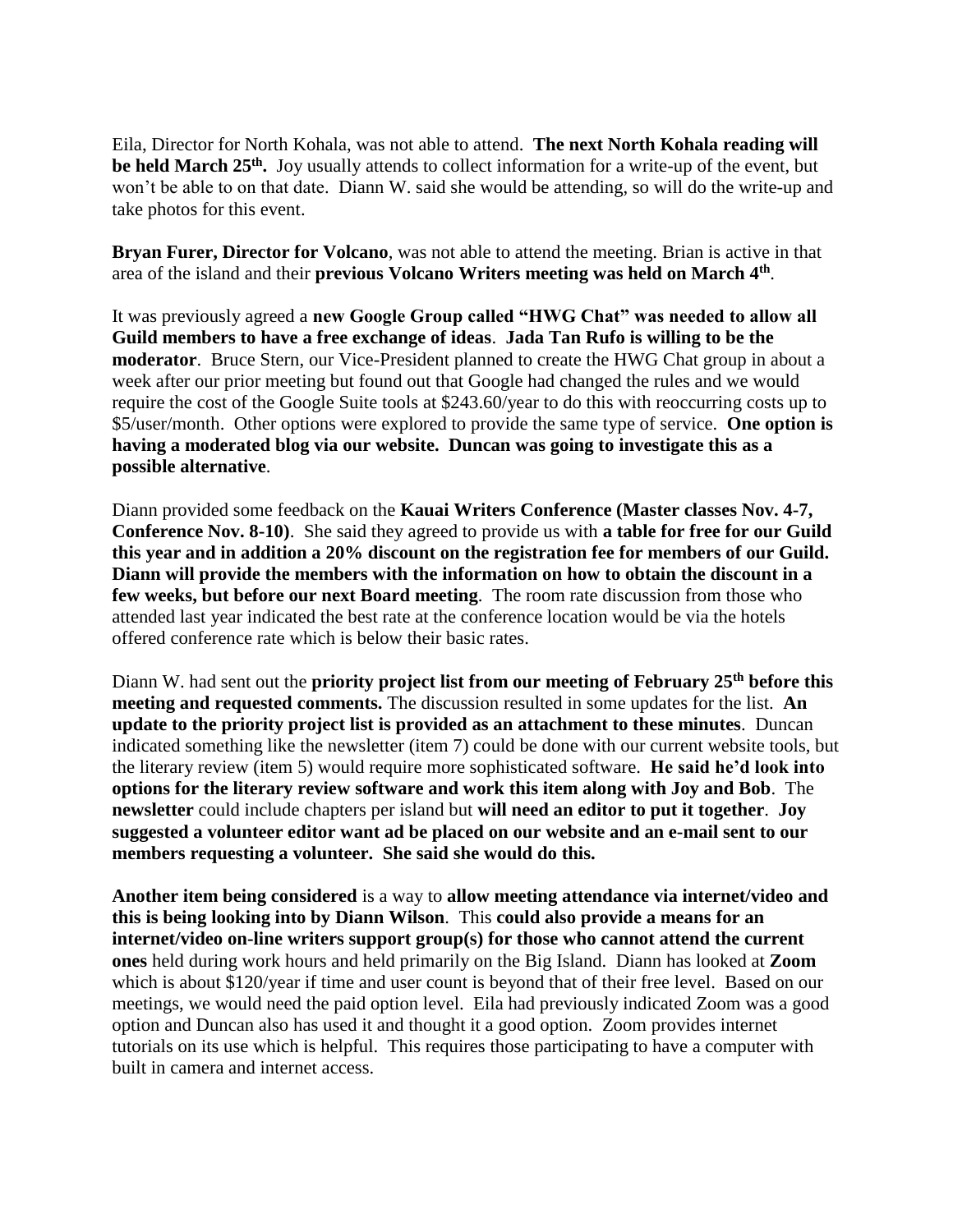Eila, Director for North Kohala, was not able to attend. **The next North Kohala reading will be held March 25th .** Joy usually attends to collect information for a write-up of the event, but won't be able to on that date. Diann W. said she would be attending, so will do the write-up and take photos for this event.

**Bryan Furer, Director for Volcano**, was not able to attend the meeting. Brian is active in that area of the island and their **previous Volcano Writers meeting was held on March 4 th** .

It was previously agreed a **new Google Group called "HWG Chat" was needed to allow all Guild members to have a free exchange of ideas**. **Jada Tan Rufo is willing to be the moderator**. Bruce Stern, our Vice-President planned to create the HWG Chat group in about a week after our prior meeting but found out that Google had changed the rules and we would require the cost of the Google Suite tools at \$243.60/year to do this with reoccurring costs up to \$5/user/month. Other options were explored to provide the same type of service. **One option is having a moderated blog via our website. Duncan was going to investigate this as a possible alternative**.

Diann provided some feedback on the **Kauai Writers Conference (Master classes Nov. 4-7, Conference Nov. 8-10)**. She said they agreed to provide us with **a table for free for our Guild this year and in addition a 20% discount on the registration fee for members of our Guild. Diann will provide the members with the information on how to obtain the discount in a few weeks, but before our next Board meeting**. The room rate discussion from those who attended last year indicated the best rate at the conference location would be via the hotels offered conference rate which is below their basic rates.

Diann W. had sent out the **priority project list from our meeting of February 25th before this meeting and requested comments.** The discussion resulted in some updates for the list. **An update to the priority project list is provided as an attachment to these minutes**. Duncan indicated something like the newsletter (item 7) could be done with our current website tools, but the literary review (item 5) would require more sophisticated software. **He said he'd look into options for the literary review software and work this item along with Joy and Bob**. The **newsletter** could include chapters per island but **will need an editor to put it together**. **Joy suggested a volunteer editor want ad be placed on our website and an e-mail sent to our members requesting a volunteer. She said she would do this.**

**Another item being considered** is a way to **allow meeting attendance via internet/video and this is being looking into by Diann Wilson**. This **could also provide a means for an internet/video on-line writers support group(s) for those who cannot attend the current ones** held during work hours and held primarily on the Big Island. Diann has looked at **Zoom** which is about \$120/year if time and user count is beyond that of their free level. Based on our meetings, we would need the paid option level. Eila had previously indicated Zoom was a good option and Duncan also has used it and thought it a good option. Zoom provides internet tutorials on its use which is helpful. This requires those participating to have a computer with built in camera and internet access.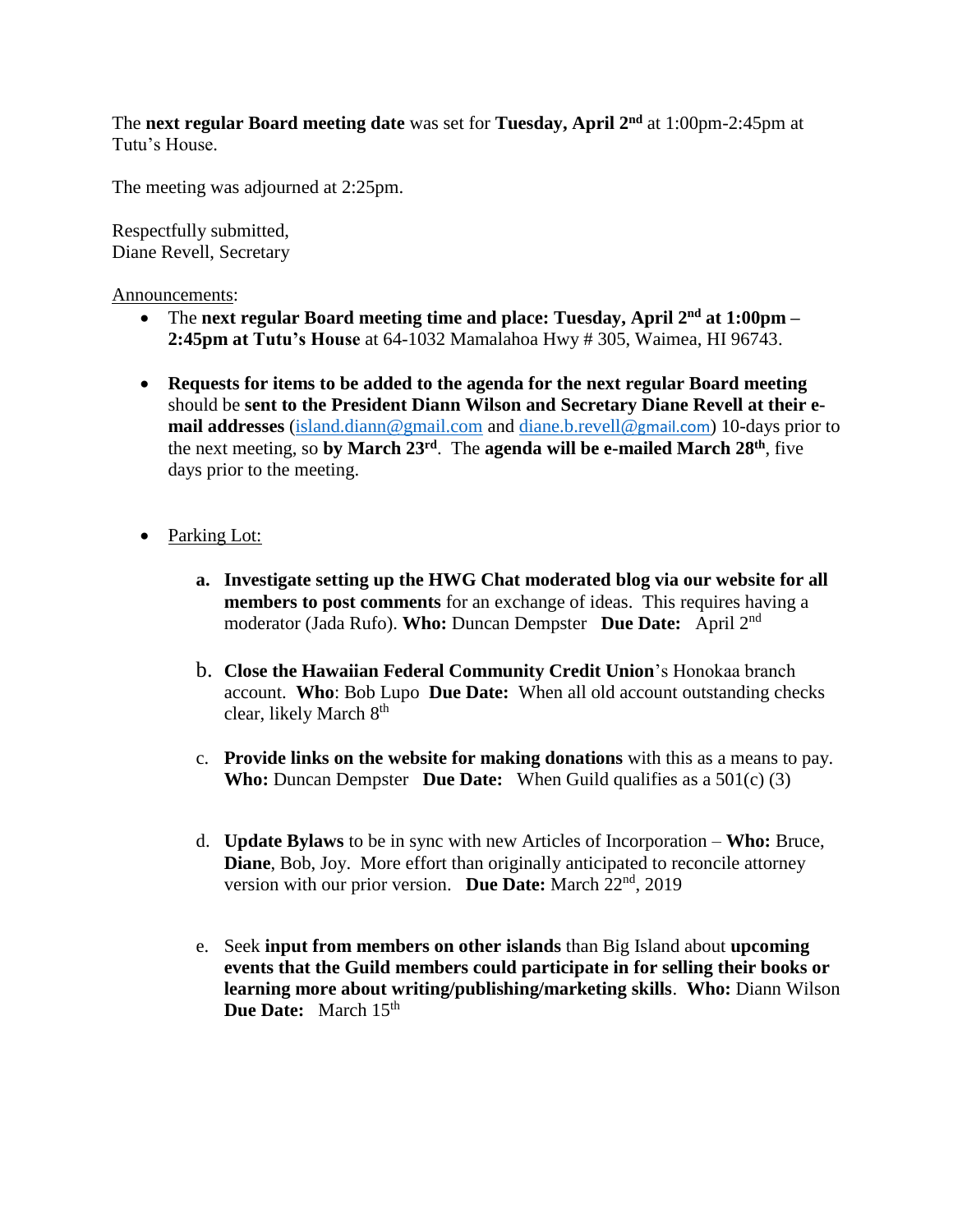The **next regular Board meeting date** was set for **Tuesday, April 2 nd** at 1:00pm-2:45pm at Tutu's House.

The meeting was adjourned at 2:25pm.

Respectfully submitted, Diane Revell, Secretary

Announcements:

- The next regular Board meeting time and place: Tuesday, April 2<sup>nd</sup> at 1:00pm -**2:45pm at Tutu's House** at 64-1032 Mamalahoa Hwy # 305, Waimea, HI 96743.
- **Requests for items to be added to the agenda for the next regular Board meeting** should be **sent to the President Diann Wilson and Secretary Diane Revell at their email addresses** [\(island.diann@gmail.com](mailto:island.diann@gmail.com) and [diane.b.revell@](mailto:diane.b.revell@gmail.com)gmail.com) 10-days prior to the next meeting, so **by March 23 rd** . The **agenda will be e-mailed March 28th** , five days prior to the meeting.
- Parking Lot:
	- **a. Investigate setting up the HWG Chat moderated blog via our website for all members to post comments** for an exchange of ideas. This requires having a moderator (Jada Rufo). **Who:** Duncan Dempster **Due Date:** April 2nd
	- b. **Close the Hawaiian Federal Community Credit Union**'s Honokaa branch account. **Who**: Bob Lupo **Due Date:** When all old account outstanding checks clear, likely March 8<sup>th</sup>
	- c. **Provide links on the website for making donations** with this as a means to pay. **Who:** Duncan Dempster **Due Date:** When Guild qualifies as a 501(c) (3)
	- d. **Update Bylaws** to be in sync with new Articles of Incorporation **Who:** Bruce, **Diane**, Bob, Joy. More effort than originally anticipated to reconcile attorney version with our prior version. Due Date: March 22<sup>nd</sup>, 2019
	- e. Seek **input from members on other islands** than Big Island about **upcoming events that the Guild members could participate in for selling their books or learning more about writing/publishing/marketing skills**. **Who:** Diann Wilson **Due Date:** March 15<sup>th</sup>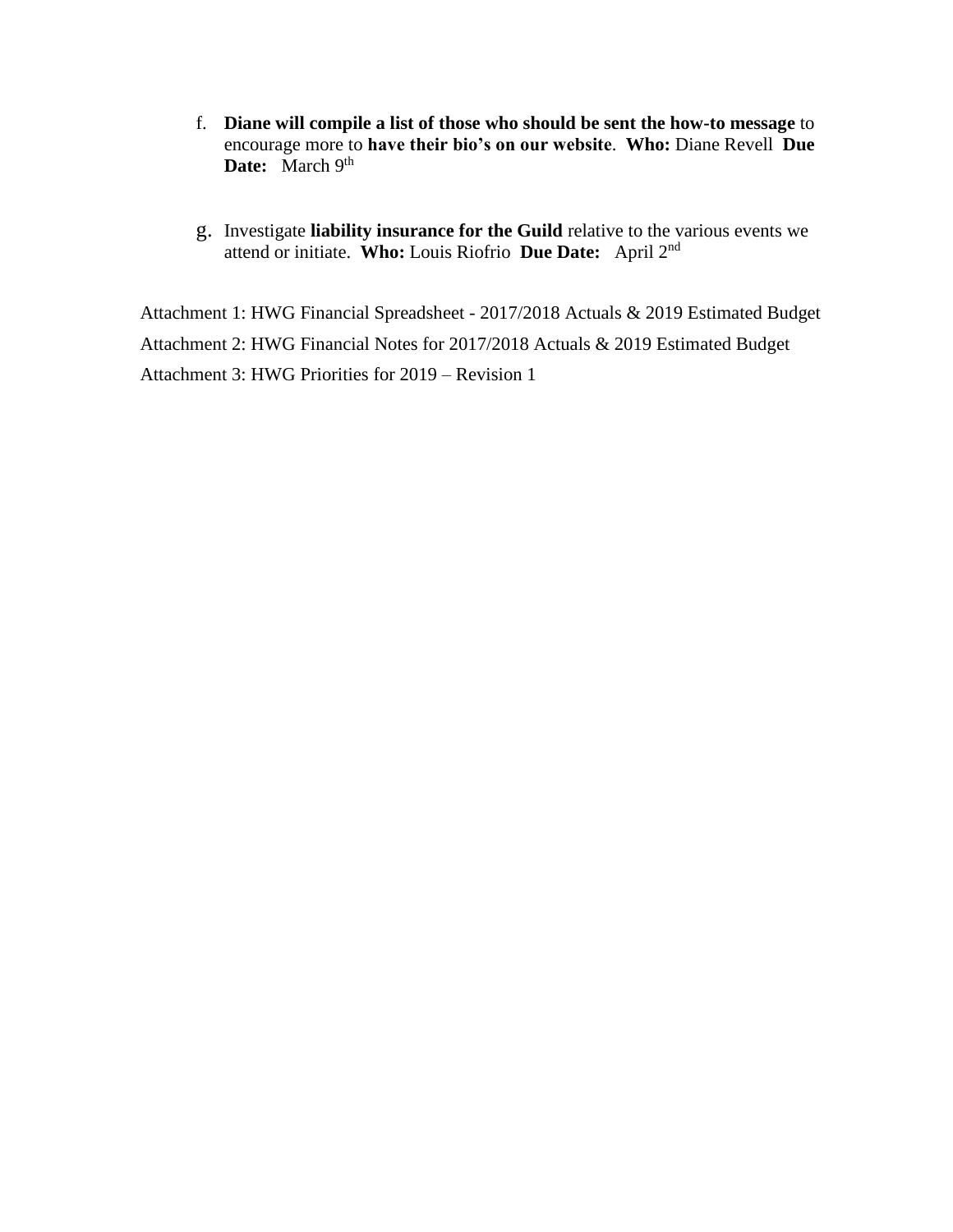- f. **Diane will compile a list of those who should be sent the how-to message** to encourage more to **have their bio's on our website**. **Who:** Diane Revell **Due**  Date: March 9<sup>th</sup>
- g. Investigate **liability insurance for the Guild** relative to the various events we attend or initiate. **Who:** Louis Riofrio **Due Date:** April 2 nd

Attachment 1: HWG Financial Spreadsheet - 2017/2018 Actuals & 2019 Estimated Budget Attachment 2: HWG Financial Notes for 2017/2018 Actuals & 2019 Estimated Budget Attachment 3: HWG Priorities for 2019 – Revision 1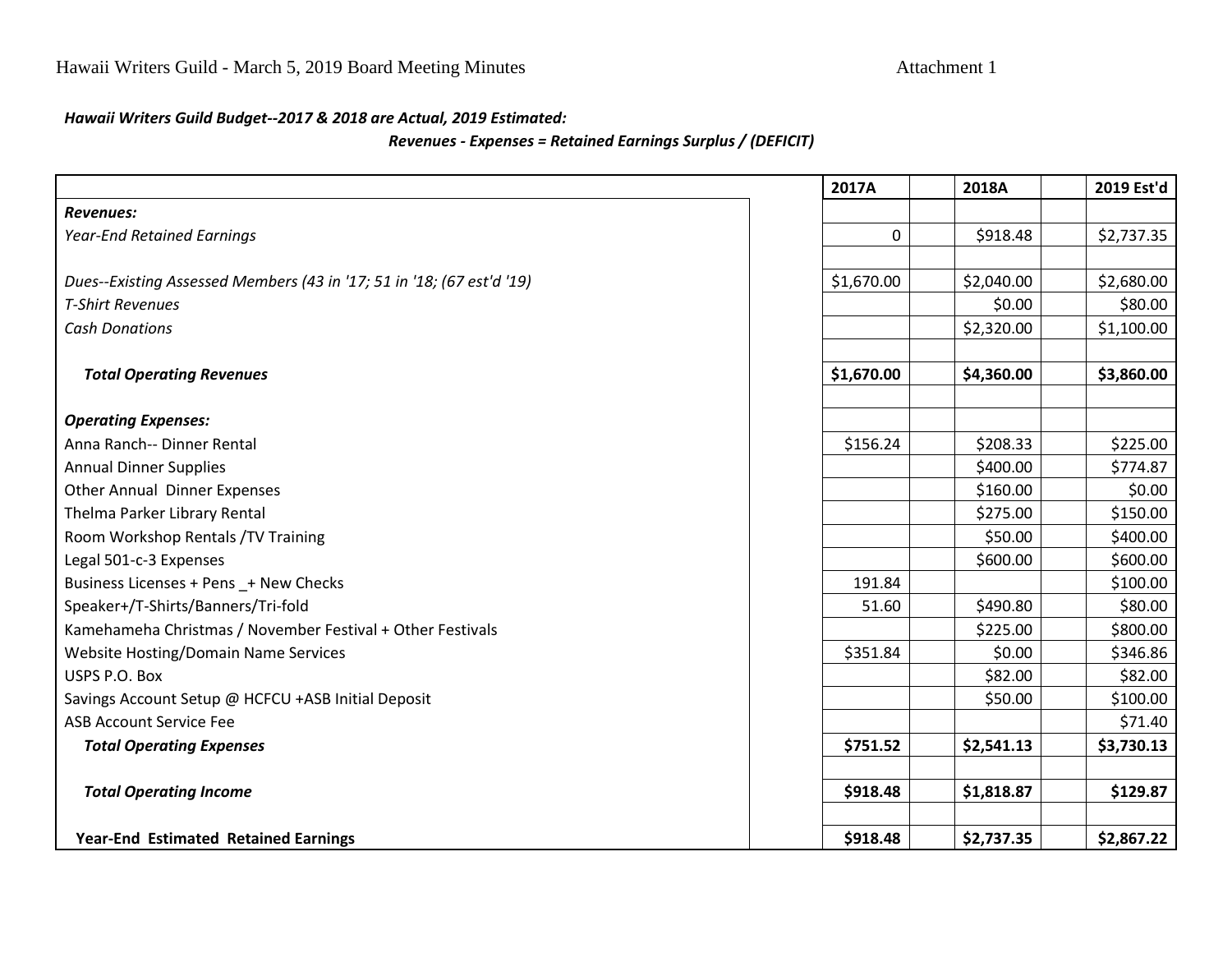#### *Hawaii Writers Guild Budget--2017 & 2018 are Actual, 2019 Estimated:*

#### *Revenues - Expenses = Retained Earnings Surplus / (DEFICIT)*

|                                                                       | 2017A      | 2018A      | 2019 Est'd |
|-----------------------------------------------------------------------|------------|------------|------------|
| <b>Revenues:</b>                                                      |            |            |            |
| <b>Year-End Retained Earnings</b>                                     | 0          | \$918.48   | \$2,737.35 |
|                                                                       |            |            |            |
| Dues--Existing Assessed Members (43 in '17; 51 in '18; (67 est'd '19) | \$1,670.00 | \$2,040.00 | \$2,680.00 |
| <b>T-Shirt Revenues</b>                                               |            | \$0.00     | \$80.00    |
| <b>Cash Donations</b>                                                 |            | \$2,320.00 | \$1,100.00 |
|                                                                       |            |            |            |
| <b>Total Operating Revenues</b>                                       | \$1,670.00 | \$4,360.00 | \$3,860.00 |
|                                                                       |            |            |            |
| <b>Operating Expenses:</b>                                            |            |            |            |
| Anna Ranch-- Dinner Rental                                            | \$156.24   | \$208.33   | \$225.00   |
| <b>Annual Dinner Supplies</b>                                         |            | \$400.00   | \$774.87   |
| Other Annual Dinner Expenses                                          |            | \$160.00   | \$0.00     |
| Thelma Parker Library Rental                                          |            | \$275.00   | \$150.00   |
| Room Workshop Rentals /TV Training                                    |            | \$50.00    | \$400.00   |
| Legal 501-c-3 Expenses                                                |            | \$600.00   | \$600.00   |
| Business Licenses + Pens _+ New Checks                                | 191.84     |            | \$100.00   |
| Speaker+/T-Shirts/Banners/Tri-fold                                    | 51.60      | \$490.80   | \$80.00    |
| Kamehameha Christmas / November Festival + Other Festivals            |            | \$225.00   | \$800.00   |
| Website Hosting/Domain Name Services                                  | \$351.84   | \$0.00     | \$346.86   |
| USPS P.O. Box                                                         |            | \$82.00    | \$82.00    |
| Savings Account Setup @ HCFCU +ASB Initial Deposit                    |            | \$50.00    | \$100.00   |
| <b>ASB Account Service Fee</b>                                        |            |            | \$71.40    |
| <b>Total Operating Expenses</b>                                       | \$751.52   | \$2,541.13 | \$3,730.13 |
| <b>Total Operating Income</b>                                         | \$918.48   | \$1,818.87 | \$129.87   |
|                                                                       |            |            |            |
| <b>Year-End Estimated Retained Earnings</b>                           | \$918.48   | \$2,737.35 | \$2,867.22 |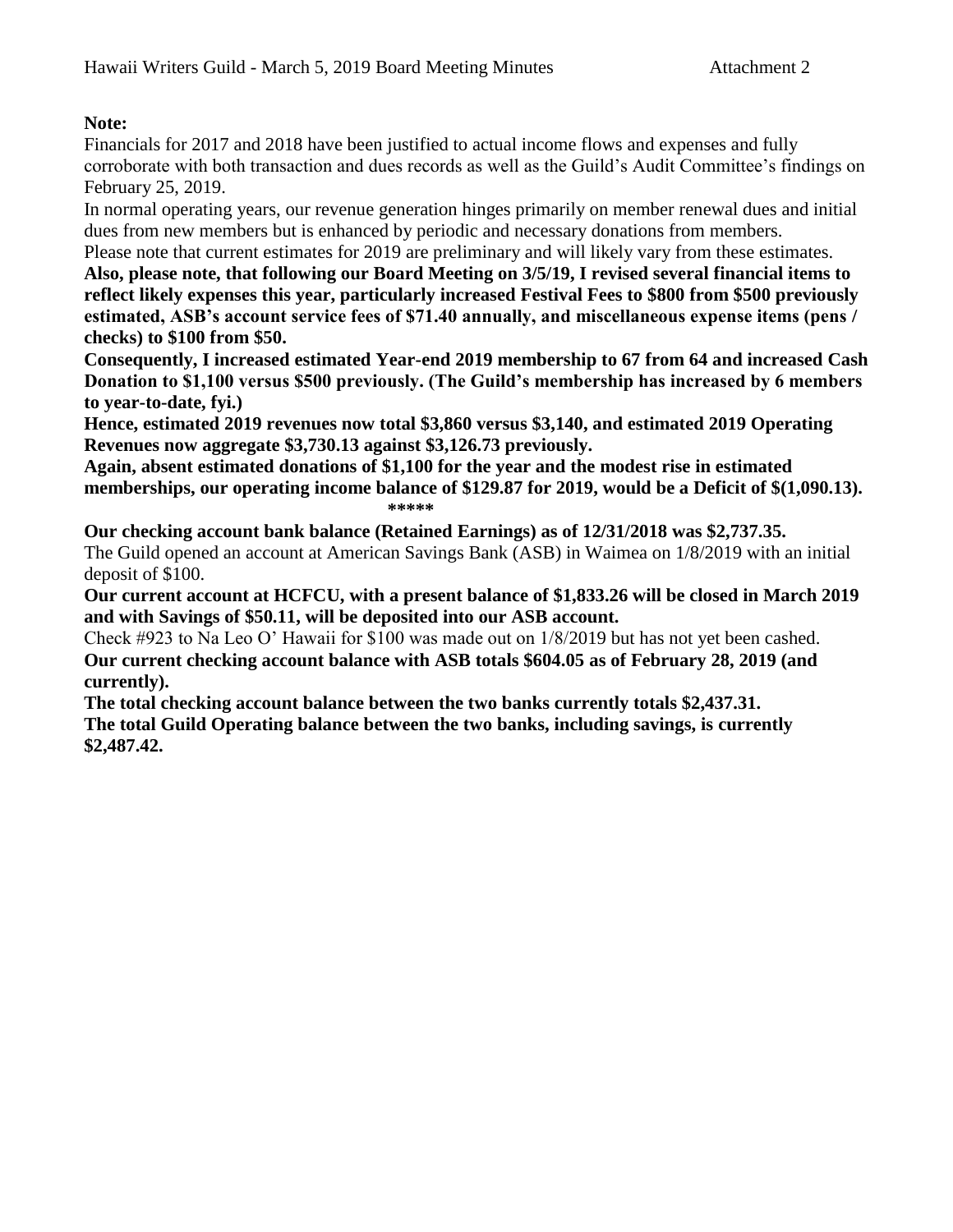## **Note:**

Financials for 2017 and 2018 have been justified to actual income flows and expenses and fully corroborate with both transaction and dues records as well as the Guild's Audit Committee's findings on February 25, 2019.

In normal operating years, our revenue generation hinges primarily on member renewal dues and initial dues from new members but is enhanced by periodic and necessary donations from members.

Please note that current estimates for 2019 are preliminary and will likely vary from these estimates. **Also, please note, that following our Board Meeting on 3/5/19, I revised several financial items to reflect likely expenses this year, particularly increased Festival Fees to \$800 from \$500 previously estimated, ASB's account service fees of \$71.40 annually, and miscellaneous expense items (pens / checks) to \$100 from \$50.**

**Consequently, I increased estimated Year-end 2019 membership to 67 from 64 and increased Cash Donation to \$1,100 versus \$500 previously. (The Guild's membership has increased by 6 members to year-to-date, fyi.)**

**Hence, estimated 2019 revenues now total \$3,860 versus \$3,140, and estimated 2019 Operating Revenues now aggregate \$3,730.13 against \$3,126.73 previously.**

**Again, absent estimated donations of \$1,100 for the year and the modest rise in estimated memberships, our operating income balance of \$129.87 for 2019, would be a Deficit of \$(1,090.13). \*\*\*\*\***

**Our checking account bank balance (Retained Earnings) as of 12/31/2018 was \$2,737.35.**  The Guild opened an account at American Savings Bank (ASB) in Waimea on 1/8/2019 with an initial deposit of \$100.

**Our current account at HCFCU, with a present balance of \$1,833.26 will be closed in March 2019 and with Savings of \$50.11, will be deposited into our ASB account.**

Check #923 to Na Leo O' Hawaii for \$100 was made out on 1/8/2019 but has not yet been cashed. **Our current checking account balance with ASB totals \$604.05 as of February 28, 2019 (and currently).**

**The total checking account balance between the two banks currently totals \$2,437.31. The total Guild Operating balance between the two banks, including savings, is currently \$2,487.42.**